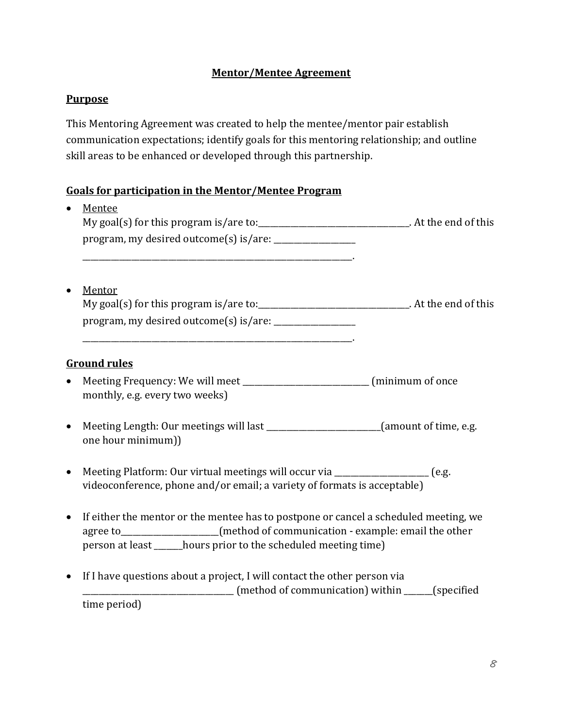## **Mentor/Mentee Agreement**

## **Purpose**

time period)

This Mentoring Agreement was created to help the mentee/mentor pair establish communication expectations; identify goals for this mentoring relationship; and outline skill areas to be enhanced or developed through this partnership.

## **Goals for participation in the Mentor/Mentee Program**

| $\bullet$ | Mentee<br>My goal(s) for this program is/are to:_____________________________. At the end of this                                                                                                                                          |  |
|-----------|--------------------------------------------------------------------------------------------------------------------------------------------------------------------------------------------------------------------------------------------|--|
|           | Mentor<br>My goal(s) for this program is/are to:_____________________________. At the end of this                                                                                                                                          |  |
| $\bullet$ | <b>Ground rules</b><br>Meeting Frequency: We will meet __________________________ (minimum of once<br>monthly, e.g. every two weeks)                                                                                                       |  |
| $\bullet$ | Meeting Length: Our meetings will last _______________________(amount of time, e.g.<br>one hour minimum))                                                                                                                                  |  |
| $\bullet$ | Meeting Platform: Our virtual meetings will occur via __________________ (e.g.<br>videoconference, phone and/or email; a variety of formats is acceptable)                                                                                 |  |
| $\bullet$ | If either the mentor or the mentee has to postpone or cancel a scheduled meeting, we<br>agree to__________________(method of communication - example: email the other<br>person at least ______ hours prior to the scheduled meeting time) |  |
| $\bullet$ | If I have questions about a project, I will contact the other person via<br>_________________________________ (method of communication) within ______(specified                                                                            |  |